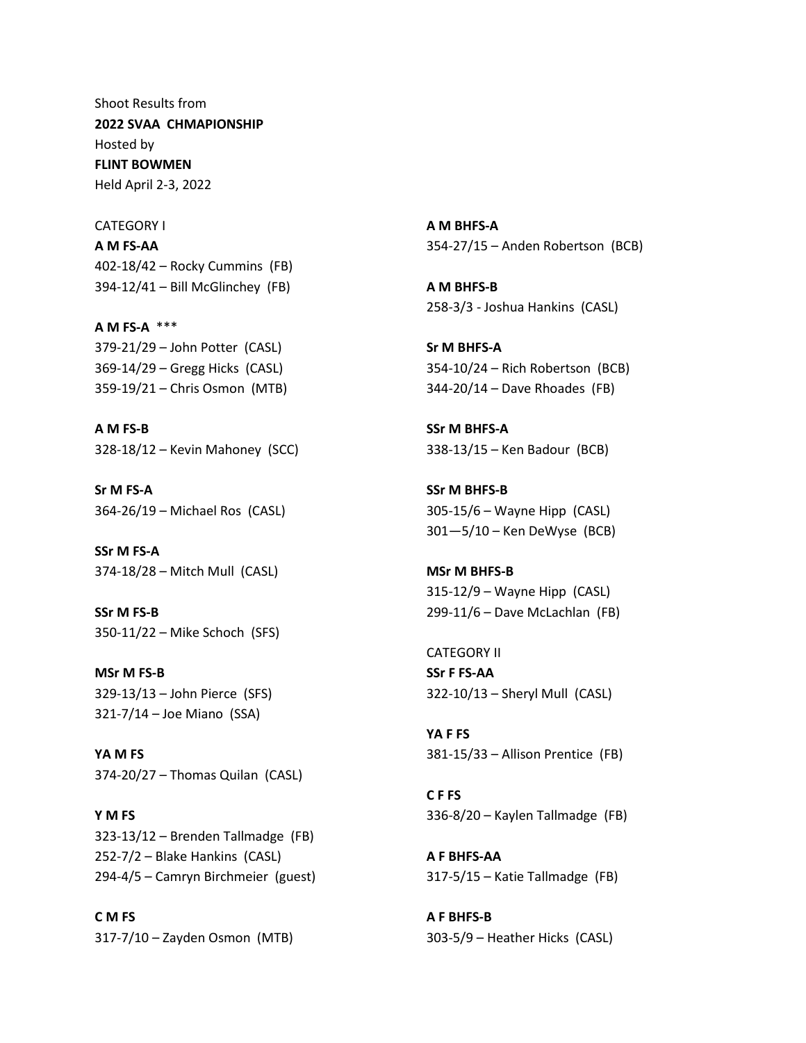Shoot Results from **2022 SVAA CHMAPIONSHIP** Hosted by **FLINT BOWMEN** Held April 2-3, 2022

CATEGORY I **A M FS-AA** 402-18/42 – Rocky Cummins (FB) 394-12/41 – Bill McGlinchey (FB)

**A M FS-A** \*\*\* 379-21/29 – John Potter (CASL) 369-14/29 – Gregg Hicks (CASL) 359-19/21 – Chris Osmon (MTB)

**A M FS-B** 328-18/12 – Kevin Mahoney (SCC)

**Sr M FS-A** 364-26/19 – Michael Ros (CASL)

**SSr M FS-A** 374-18/28 – Mitch Mull (CASL)

**SSr M FS-B** 350-11/22 – Mike Schoch (SFS)

**MSr M FS-B** 329-13/13 – John Pierce (SFS) 321-7/14 – Joe Miano (SSA)

**YA M FS** 374-20/27 – Thomas Quilan (CASL)

**Y M FS** 323-13/12 – Brenden Tallmadge (FB) 252-7/2 – Blake Hankins (CASL) 294-4/5 – Camryn Birchmeier (guest)

**C M FS** 317-7/10 – Zayden Osmon (MTB) **A M BHFS-A** 354-27/15 – Anden Robertson (BCB)

**A M BHFS-B** 258-3/3 - Joshua Hankins (CASL)

**Sr M BHFS-A** 354-10/24 – Rich Robertson (BCB) 344-20/14 – Dave Rhoades (FB)

**SSr M BHFS-A** 338-13/15 – Ken Badour (BCB)

**SSr M BHFS-B** 305-15/6 – Wayne Hipp (CASL) 301—5/10 – Ken DeWyse (BCB)

**MSr M BHFS-B** 315-12/9 – Wayne Hipp (CASL) 299-11/6 – Dave McLachlan (FB)

CATEGORY II **SSr F FS-AA** 322-10/13 – Sheryl Mull (CASL)

**YA F FS** 381-15/33 – Allison Prentice (FB)

**C F FS** 336-8/20 – Kaylen Tallmadge (FB)

**A F BHFS-AA** 317-5/15 – Katie Tallmadge (FB)

**A F BHFS-B** 303-5/9 – Heather Hicks (CASL)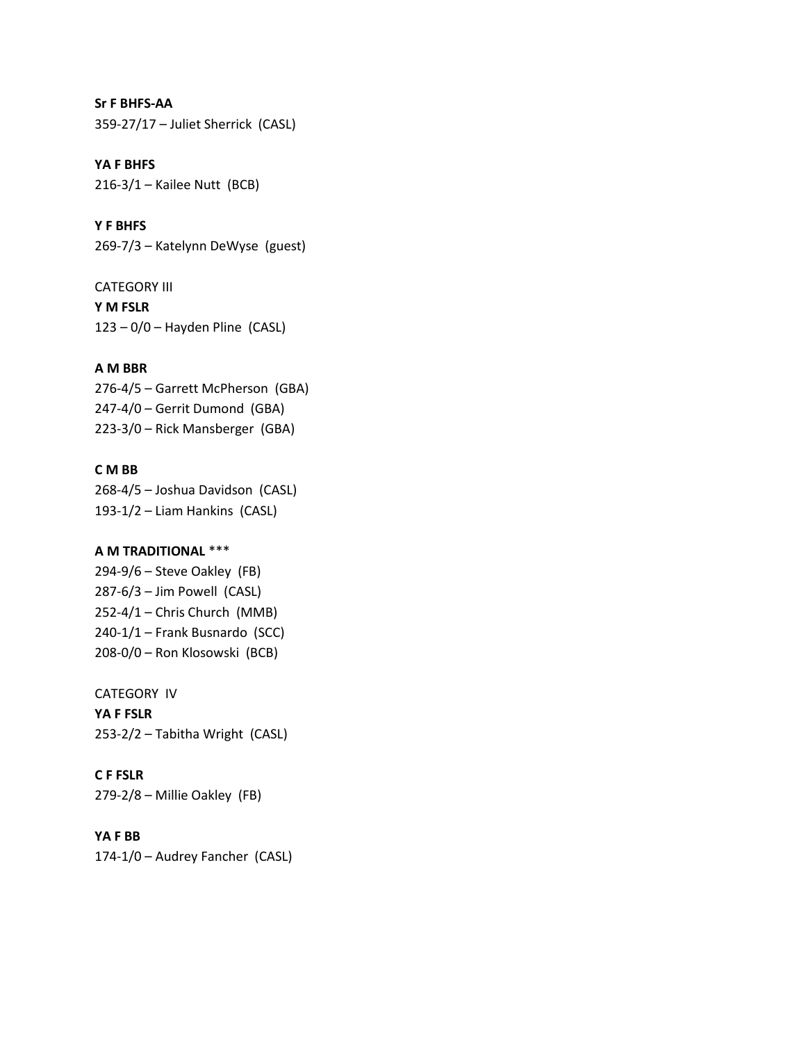**Sr F BHFS-AA** 359-27/17 – Juliet Sherrick (CASL)

**YA F BHFS** 216-3/1 – Kailee Nutt (BCB)

**Y F BHFS** 269-7/3 – Katelynn DeWyse (guest)

CATEGORY III **Y M FSLR**  $123 - 0/0$  – Hayden Pline (CASL)

### **A M BBR**

276-4/5 – Garrett McPherson (GBA) 247-4/0 – Gerrit Dumond (GBA) 223-3/0 – Rick Mansberger (GBA)

#### **C M BB**

268-4/5 – Joshua Davidson (CASL) 193-1/2 – Liam Hankins (CASL)

# **A M TRADITIONAL** \*\*\*

294-9/6 – Steve Oakley (FB) 287-6/3 – Jim Powell (CASL) 252-4/1 – Chris Church (MMB) 240-1/1 – Frank Busnardo (SCC) 208-0/0 – Ron Klosowski (BCB)

#### CATEGORY IV

**YA F FSLR** 253-2/2 – Tabitha Wright (CASL)

### **C F FSLR**

279-2/8 – Millie Oakley (FB)

### **YA F BB**

174-1/0 – Audrey Fancher (CASL)